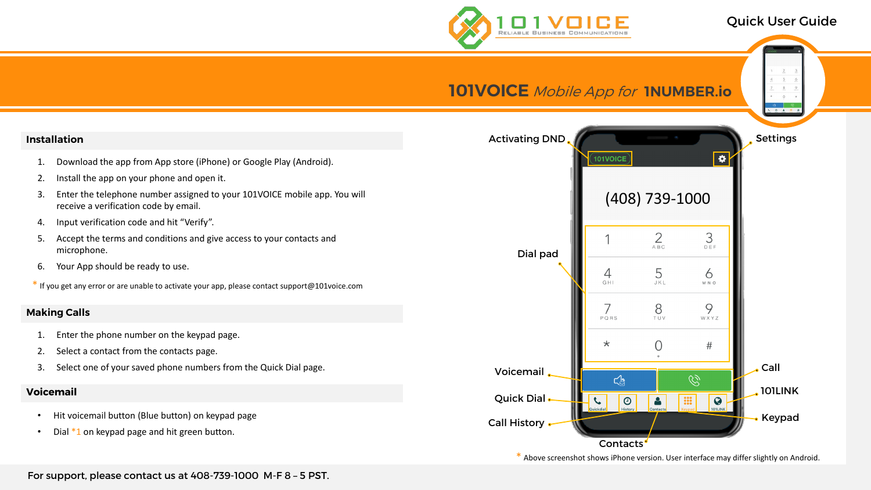# Quick User Guide





For support, please contact us at 408-739-1000 M-F 8 – 5 PST.

\* Above screenshot shows iPhone version. User interface may differ slightly on Android.